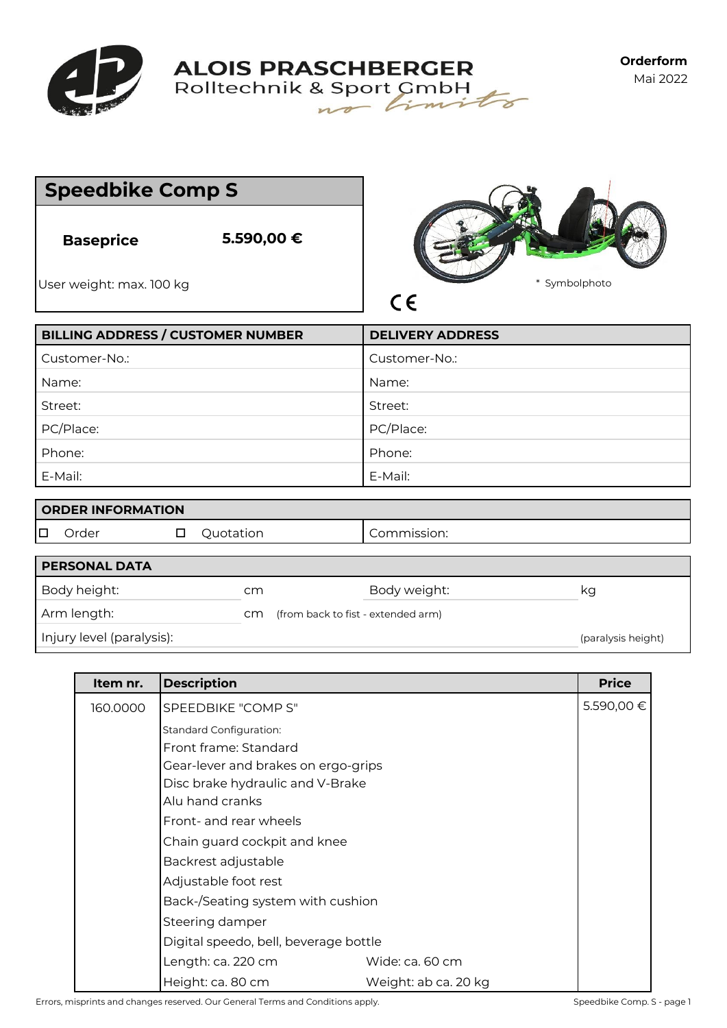

**ALOIS PRASCHBERGER**<br>Rolltechnik & Sport CmbH

| <b>Speedbike Comp S</b>                      |                                          |                                  |
|----------------------------------------------|------------------------------------------|----------------------------------|
| <b>Baseprice</b><br>User weight: max. 100 kg | 5.590,00 €                               | Symbolphoto<br>$\ast$<br>$C \in$ |
|                                              | <b>BILLING ADDRESS / CUSTOMER NUMBER</b> | <b>DELIVERY ADDRESS</b>          |
| Customer-No.:                                |                                          | Customer-No.:                    |
| Name:                                        |                                          | Name:                            |
| Street:                                      |                                          | Street:                          |
| PC/Place:                                    |                                          | PC/Place:                        |
| Phone:                                       |                                          | Phone:                           |
| E-Mail:                                      |                                          | E-Mail:                          |
| <b>ORDER INFORMATION</b>                     |                                          |                                  |
| Order<br>$\Box$                              | Quotation<br>□                           | Commission:                      |

| <b>PERSONAL DATA</b>      |    |                                    |              |                    |
|---------------------------|----|------------------------------------|--------------|--------------------|
| Body height:              | cm |                                    | Body weight: | κg                 |
| Arm length:               | cm | (from back to fist - extended arm) |              |                    |
| Injury level (paralysis): |    |                                    |              | (paralysis height) |

| Item nr. | <b>Description</b>                    |                      | <b>Price</b> |  |
|----------|---------------------------------------|----------------------|--------------|--|
| 160.0000 | SPEEDBIKE "COMP S"                    |                      | 5.590,00 €   |  |
|          | <b>Standard Configuration:</b>        |                      |              |  |
|          | Front frame: Standard                 |                      |              |  |
|          | Gear-lever and brakes on ergo-grips   |                      |              |  |
|          | Disc brake hydraulic and V-Brake      |                      |              |  |
|          | Alu hand cranks                       |                      |              |  |
|          | Front- and rear wheels                |                      |              |  |
|          | Chain guard cockpit and knee          |                      |              |  |
|          | Backrest adjustable                   |                      |              |  |
|          | Adjustable foot rest                  |                      |              |  |
|          | Back-/Seating system with cushion     |                      |              |  |
|          | Steering damper                       |                      |              |  |
|          | Digital speedo, bell, beverage bottle |                      |              |  |
|          | Length: ca. 220 cm                    | Wide: ca. 60 cm      |              |  |
|          | Height: ca. 80 cm                     | Weight: ab ca. 20 kg |              |  |

Errors, misprints and changes reserved. Our General Terms and Conditions apply. Speedbike Comp. S - page 1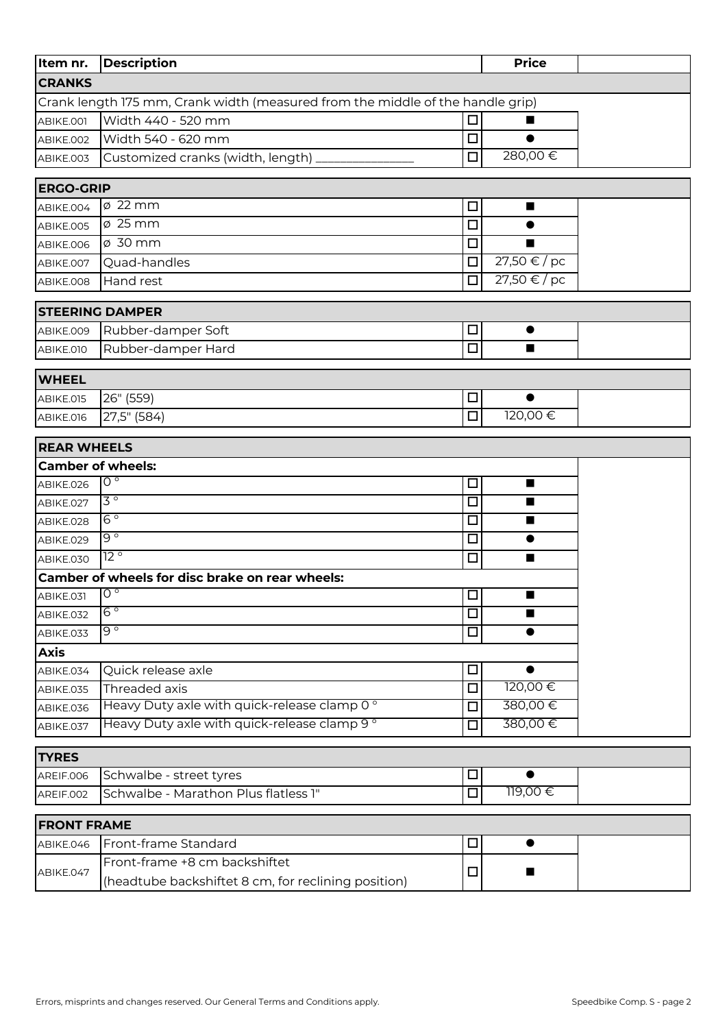| Item nr.           | <b>Description</b>                                                             |        | <b>Price</b>    |  |
|--------------------|--------------------------------------------------------------------------------|--------|-----------------|--|
| <b>CRANKS</b>      |                                                                                |        |                 |  |
|                    | Crank length 175 mm, Crank width (measured from the middle of the handle grip) |        |                 |  |
| ABIKE.001          | Width 440 - 520 mm                                                             | $\Box$ |                 |  |
| ABIKE.002          | Width 540 - 620 mm                                                             | $\Box$ | $\bullet$       |  |
| ABIKE.003          | Customized cranks (width, length)                                              | $\Box$ | 280,00€         |  |
| <b>ERGO-GRIP</b>   |                                                                                |        |                 |  |
| ABIKE.004          | $\varnothing$ 22 mm                                                            | □      | ■               |  |
| ABIKE.005          | $\varphi$ 25 mm                                                                | $\Box$ |                 |  |
| ABIKE.006          | ø 30 mm                                                                        | $\Box$ | ▄               |  |
| ABIKE.007          | Quad-handles                                                                   | $\Box$ | 27,50 €/pc      |  |
| ABIKE.008          | Hand rest                                                                      | $\Box$ | $27,50 \in /pc$ |  |
|                    | <b>STEERING DAMPER</b>                                                         |        |                 |  |
| ABIKE.009          | Rubber-damper Soft                                                             | $\Box$ | $\bullet$       |  |
| ABIKE.010          | Rubber-damper Hard                                                             | $\Box$ | $\blacksquare$  |  |
|                    |                                                                                |        |                 |  |
| <b>WHEEL</b>       |                                                                                |        |                 |  |
| ABIKE.015          | 26" (559)                                                                      | $\Box$ | $\bullet$       |  |
| ABIKE.016          | 27,5" (584)                                                                    | $\Box$ | 120,00€         |  |
| <b>REAR WHEELS</b> |                                                                                |        |                 |  |
|                    | <b>Camber of wheels:</b>                                                       |        |                 |  |
| ABIKE.026          | $\overline{O}$                                                                 | $\Box$ | ■               |  |
| ABIKE.027          | $\overline{3}$                                                                 | $\Box$ |                 |  |
| ABIKE.028          | $6^{\circ}$                                                                    | $\Box$ | ■               |  |
| ABIKE.029          | $9^{\circ}$                                                                    | $\Box$ | $\bullet$       |  |
| ABIKE.030          | $\overline{12}$ °                                                              | $\Box$ | ■               |  |
|                    | Camber of wheels for disc brake on rear wheels:                                |        |                 |  |
| ABIKE.031          | $\overline{0}$                                                                 | $\Box$ |                 |  |
| ABIKE.032          | $6^{\circ}$                                                                    | $\Box$ | п               |  |
| ABIKE.033          | ० ७                                                                            | $\Box$ | $\bullet$       |  |
| <b>Axis</b>        |                                                                                |        |                 |  |
| ABIKE.034          | Quick release axle                                                             | □      |                 |  |
| ABIKE.035          | Threaded axis                                                                  | $\Box$ | 120,00€         |  |
| ABIKE.036          | Heavy Duty axle with quick-release clamp 0°                                    | $\Box$ | 380,00€         |  |
| ABIKE.037          | Heavy Duty axle with quick-release clamp 9°                                    | $\Box$ | 380,00€         |  |
| <b>TYRES</b>       |                                                                                |        |                 |  |
| AREIF.006          | Schwalbe - street tyres                                                        | □      | ●               |  |
| AREIF.002          | Schwalbe - Marathon Plus flatless 1"                                           | $\Box$ | 119,00€         |  |
| <b>FRONT FRAME</b> |                                                                                |        |                 |  |
| ABIKE.046          | Front-frame Standard                                                           | $\Box$ | $\bullet$       |  |
|                    | Front-frame +8 cm backshiftet                                                  |        |                 |  |
| ABIKE.047          | (headtube backshiftet 8 cm, for reclining position)                            | □      |                 |  |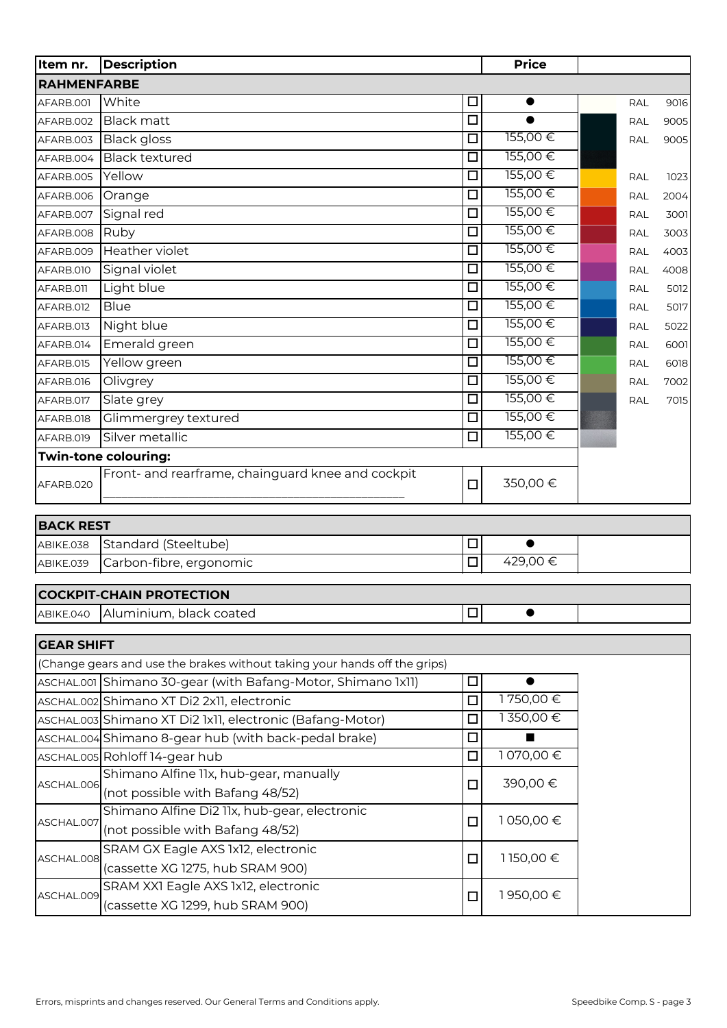| Item nr.           | <b>Description</b>                                                        |                      | <b>Price</b>   |            |      |
|--------------------|---------------------------------------------------------------------------|----------------------|----------------|------------|------|
| <b>RAHMENFARBE</b> |                                                                           |                      |                |            |      |
| AFARB.001          | White                                                                     | □                    | $\bullet$      | <b>RAL</b> | 9016 |
| AFARB.002          | <b>Black matt</b>                                                         | $\overline{\Box}$    | $\bullet$      | <b>RAL</b> | 9005 |
| AFARB.003          | <b>Black</b> gloss                                                        | $\Box$               | 155,00€        | <b>RAL</b> | 9005 |
| AFARB.004          | <b>Black textured</b>                                                     | $\overline{\square}$ | 155,00€        |            |      |
| AFARB.005          | Yellow                                                                    | $\Box$               | 155,00€        | <b>RAL</b> | 1023 |
| AFARB.006          | Orange                                                                    | $\overline{\Box}$    | 155,00€        | <b>RAL</b> | 2004 |
| AFARB.007          | Signal red                                                                | $\Box$               | 155,00€        | <b>RAL</b> | 3001 |
| AFARB.008          | Ruby                                                                      | $\Box$               | 155,00€        | <b>RAL</b> | 3003 |
| AFARB.009          | Heather violet                                                            | П                    | 155,00€        | RAL        | 4003 |
| AFARB.010          | Signal violet                                                             | □                    | 155,00€        | <b>RAL</b> | 4008 |
| AFARB.011          | Light blue                                                                | □                    | 155,00€        | <b>RAL</b> | 5012 |
| AFARB.012          | <b>Blue</b>                                                               | $\Box$               | 155,00€        | <b>RAL</b> | 5017 |
| AFARB.013          | Night blue                                                                | $\Box$               | 155,00€        | <b>RAL</b> | 5022 |
| AFARB.014          | Emerald green                                                             | □                    | 155,00€        | <b>RAL</b> | 6001 |
| AFARB.015          | Yellow green                                                              | $\overline{\Box}$    | 155,00€        | <b>RAL</b> | 6018 |
| AFARB.016          | Olivgrey                                                                  | $\Box$               | 155,00€        | <b>RAL</b> | 7002 |
| AFARB.017          | Slate grey                                                                | $\overline{\Box}$    | 155,00€        | RAL        | 7015 |
| AFARB.018          | Glimmergrey textured                                                      | $\Box$               | 155,00€        |            |      |
| AFARB.019          | Silver metallic                                                           | $\overline{\Box}$    | 155,00 €       |            |      |
|                    | Twin-tone colouring:                                                      |                      |                |            |      |
| AFARB.020          | Front- and rearframe, chainguard knee and cockpit                         | $\Box$               | 350,00€        |            |      |
| <b>BACK REST</b>   |                                                                           |                      |                |            |      |
| ABIKE.038          | Standard (Steeltube)                                                      | $\Box$               | $\bullet$      |            |      |
| ABIKE.039          | Carbon-fibre, ergonomic                                                   | $\Box$               | 429,00€        |            |      |
|                    | <b>COCKPIT-CHAIN PROTECTION</b>                                           |                      |                |            |      |
| ABIKE.040          | Aluminium, black coated                                                   | $\Box$               |                |            |      |
|                    |                                                                           |                      |                |            |      |
| <b>GEAR SHIFT</b>  |                                                                           |                      |                |            |      |
|                    | (Change gears and use the brakes without taking your hands off the grips) |                      |                |            |      |
|                    | ASCHAL.001 Shimano 30-gear (with Bafang-Motor, Shimano 1x11)              | $\Box$               | $\bullet$      |            |      |
|                    | ASCHAL.002 Shimano XT Di2 2x11, electronic                                | $\Box$               | 1750,00€       |            |      |
|                    | ASCHAL.003 Shimano XT Di2 1x11, electronic (Bafang-Motor)                 | П                    | 1350,00€       |            |      |
|                    | ASCHAL.004 Shimano 8-gear hub (with back-pedal brake)                     | □                    | $\blacksquare$ |            |      |
|                    | ASCHAL.005 Rohloff 14-gear hub                                            | □                    | 1070,00€       |            |      |
|                    | Shimano Alfine 11x, hub-gear, manually                                    |                      |                |            |      |
| ASCHAL.006         | (not possible with Bafang 48/52)                                          | $\Box$               | 390,00€        |            |      |
|                    | Shimano Alfine Di2 11x, hub-gear, electronic                              |                      |                |            |      |
| ASCHAL.007         | (not possible with Bafang 48/52)                                          | $\Box$               | 1050,00€       |            |      |
|                    | SRAM GX Eagle AXS 1x12, electronic                                        |                      |                |            |      |
| ASCHAL.008         | (cassette XG 1275, hub SRAM 900)                                          | $\Box$               | 1150,00 €      |            |      |
|                    | SRAM XX1 Eagle AXS 1x12, electronic                                       |                      |                |            |      |
| ASCHAL.009         | (cassette XG 1299, hub SRAM 900)                                          | $\Box$               | 1950,00 €      |            |      |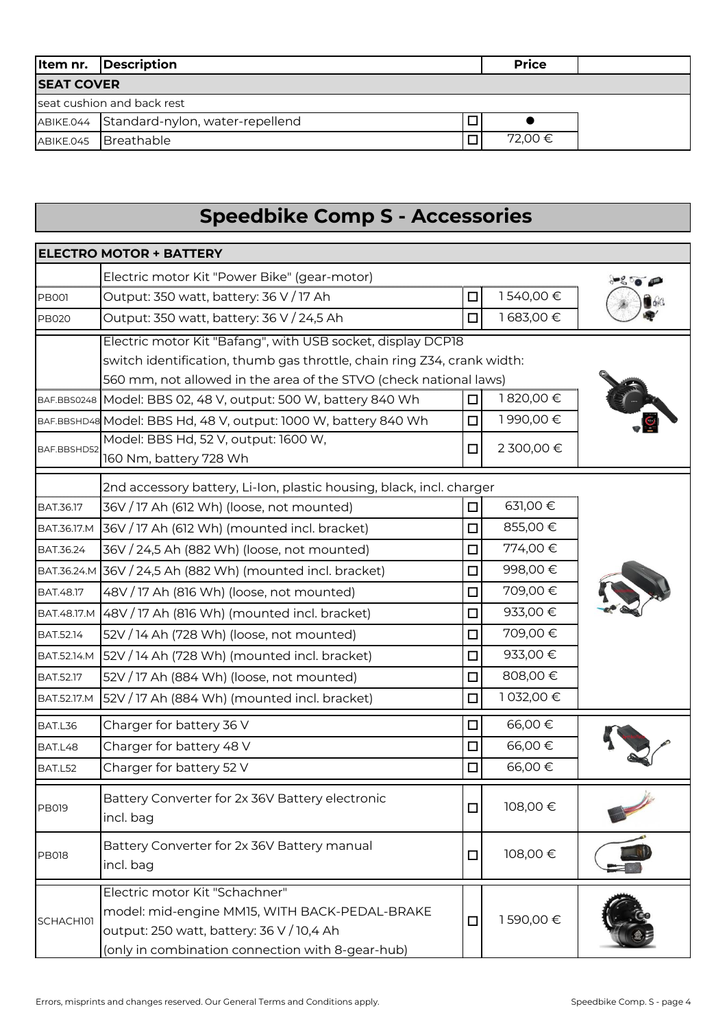|                   | <b>Item nr.</b> Description               | <b>Price</b> |
|-------------------|-------------------------------------------|--------------|
| <b>SEAT COVER</b> |                                           |              |
|                   | seat cushion and back rest                |              |
|                   | ABIKE.044 Standard-nylon, water-repellend |              |
|                   | ABIKE.045 Breathable                      | 72,00 €      |

## **Speedbike Comp S - Accessories**

|                    | <b>ELECTRO MOTOR + BATTERY</b>                                                                                                                                                   |        |            |  |
|--------------------|----------------------------------------------------------------------------------------------------------------------------------------------------------------------------------|--------|------------|--|
|                    | Electric motor Kit "Power Bike" (gear-motor)                                                                                                                                     |        |            |  |
| <b>PB001</b>       | Output: 350 watt, battery: 36 V / 17 Ah                                                                                                                                          | ப      | 1540,00€   |  |
| <b>PB020</b>       | Output: 350 watt, battery: 36 V / 24,5 Ah                                                                                                                                        | п      | 1683,00€   |  |
|                    | Electric motor Kit "Bafang", with USB socket, display DCP18                                                                                                                      |        |            |  |
|                    | switch identification, thumb gas throttle, chain ring Z34, crank width:                                                                                                          |        |            |  |
|                    | 560 mm, not allowed in the area of the STVO (check national laws)                                                                                                                |        |            |  |
|                    | BAF.BBS0248   Model: BBS 02, 48 V, output: 500 W, battery 840 Wh                                                                                                                 | ப      | 1820,00€   |  |
|                    | BAF.BBSHD48 Model: BBS Hd, 48 V, output: 1000 W, battery 840 Wh                                                                                                                  | □      | 1990,00€   |  |
| BAF.BBSHD52        | Model: BBS Hd, 52 V, output: 1600 W,                                                                                                                                             | п      | 2 300,00 € |  |
|                    | 160 Nm, battery 728 Wh                                                                                                                                                           |        |            |  |
|                    | 2nd accessory battery, Li-Ion, plastic housing, black, incl. charger                                                                                                             |        |            |  |
| BAT.36.17          | 36V / 17 Ah (612 Wh) (loose, not mounted)                                                                                                                                        | ◻      | 631,00 €   |  |
| BAT.36.17.M        | 36V / 17 Ah (612 Wh) (mounted incl. bracket)                                                                                                                                     | $\Box$ | 855,00€    |  |
| BAT.36.24          | 36V / 24,5 Ah (882 Wh) (loose, not mounted)                                                                                                                                      | п      | 774,00€    |  |
|                    | BAT.36.24.M 36V / 24,5 Ah (882 Wh) (mounted incl. bracket)                                                                                                                       | ◻      | 998,00€    |  |
| BAT.48.17          | 48V / 17 Ah (816 Wh) (loose, not mounted)                                                                                                                                        | □      | 709,00€    |  |
|                    | BAT.48.17.M 48V / 17 Ah (816 Wh) (mounted incl. bracket)                                                                                                                         | □      | 933,00 €   |  |
| <b>BAT.52.14</b>   | 52V / 14 Ah (728 Wh) (loose, not mounted)                                                                                                                                        | $\Box$ | 709,00€    |  |
| BAT.52.14.M        | 52V / 14 Ah (728 Wh) (mounted incl. bracket)                                                                                                                                     | п      | 933,00 €   |  |
| <b>BAT.52.17</b>   | 52V / 17 Ah (884 Wh) (loose, not mounted)                                                                                                                                        | □      | 808,00€    |  |
| <b>BAT.52.17.M</b> | 52V / 17 Ah (884 Wh) (mounted incl. bracket)                                                                                                                                     | $\Box$ | 1032,00€   |  |
| BAT.L36            | Charger for battery 36 V                                                                                                                                                         | □      | 66,00€     |  |
| BAT.L48            | Charger for battery 48 V                                                                                                                                                         | □      | 66,00€     |  |
| BAT.L52            | Charger for battery 52 V                                                                                                                                                         | □      | 66,00€     |  |
| <b>PB019</b>       | Battery Converter for 2x 36V Battery electronic<br>incl. bag                                                                                                                     | $\Box$ | 108,00€    |  |
| <b>PB018</b>       | Battery Converter for 2x 36V Battery manual<br>incl. bag                                                                                                                         | $\Box$ | 108,00€    |  |
| SCHACH101          | Electric motor Kit "Schachner"<br>model: mid-engine MM15, WITH BACK-PEDAL-BRAKE<br>output: 250 watt, battery: 36 V / 10,4 Ah<br>(only in combination connection with 8-gear-hub) | $\Box$ | 1590,00€   |  |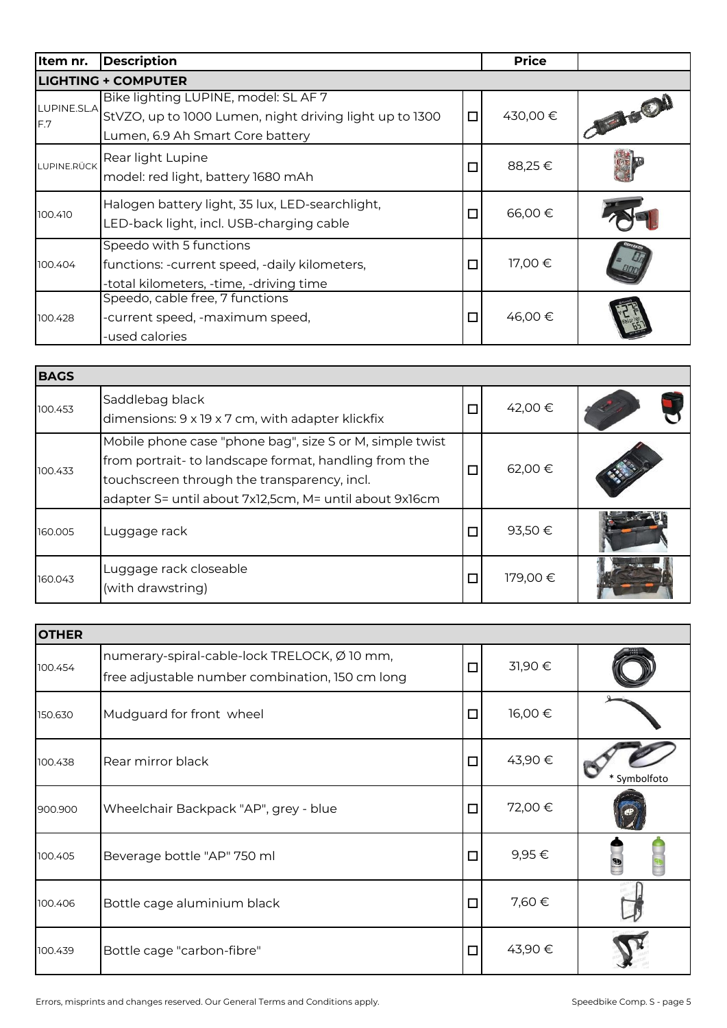| Item nr.    | <b>Description</b>                                                                                                                             |        | <b>Price</b> |           |
|-------------|------------------------------------------------------------------------------------------------------------------------------------------------|--------|--------------|-----------|
|             | <b>LIGHTING + COMPUTER</b>                                                                                                                     |        |              |           |
|             | Bike lighting LUPINE, model: SL AF 7<br>LUPINE.SLA StVZO, up to 1000 Lumen, night driving light up to 1300<br>Lumen, 6.9 Ah Smart Core battery | $\Box$ | 430,00 €     | JE STEVEN |
| LUPINE.RÜCK | Rear light Lupine<br>model: red light, battery 1680 mAh                                                                                        | $\Box$ | 88,25€       |           |
| 100.410     | Halogen battery light, 35 lux, LED-searchlight,<br>LED-back light, incl. USB-charging cable                                                    | $\Box$ | 66,00€       |           |
| 100.404     | Speedo with 5 functions<br>functions: - current speed, - daily kilometers,<br>-total kilometers, -time, -driving time                          | $\Box$ | 17,00 €      |           |
| 100.428     | Speedo, cable free, 7 functions<br>-current speed, -maximum speed,<br>-used calories                                                           | $\Box$ | 46,00 €      |           |

| <b>BAGS</b> |                                                                                                                                                                                                                            |   |         |  |
|-------------|----------------------------------------------------------------------------------------------------------------------------------------------------------------------------------------------------------------------------|---|---------|--|
| 100.453     | Saddlebag black<br>dimensions: 9 x 19 x 7 cm, with adapter klickfix                                                                                                                                                        | □ | 42,00 € |  |
| 100.433     | Mobile phone case "phone bag", size S or M, simple twist<br>from portrait- to landscape format, handling from the<br>touchscreen through the transparency, incl.<br>adapter S= until about 7x12,5cm, M= until about 9x16cm | □ | 62,00 € |  |
| 160.005     | Luggage rack                                                                                                                                                                                                               | □ | 93,50€  |  |
| 160.043     | Luggage rack closeable<br>(with drawstring)                                                                                                                                                                                | ◻ | 179,00€ |  |

| <b>OTHER</b> |                                                                                                 |        |        |              |
|--------------|-------------------------------------------------------------------------------------------------|--------|--------|--------------|
| 100.454      | numerary-spiral-cable-lock TRELOCK, Ø 10 mm,<br>free adjustable number combination, 150 cm long | $\Box$ | 31,90€ |              |
| 150.630      | Mudguard for front wheel                                                                        | $\Box$ | 16,00€ |              |
| 100.438      | Rear mirror black                                                                               | $\Box$ | 43,90€ | * Symbolfoto |
| 900.900      | Wheelchair Backpack "AP", grey - blue                                                           | $\Box$ | 72,00€ |              |
| 100.405      | Beverage bottle "AP" 750 ml                                                                     | $\Box$ | 9,95 € |              |
| 100.406      | Bottle cage aluminium black                                                                     | $\Box$ | 7,60 € |              |
| 100.439      | Bottle cage "carbon-fibre"                                                                      | $\Box$ | 43,90€ |              |